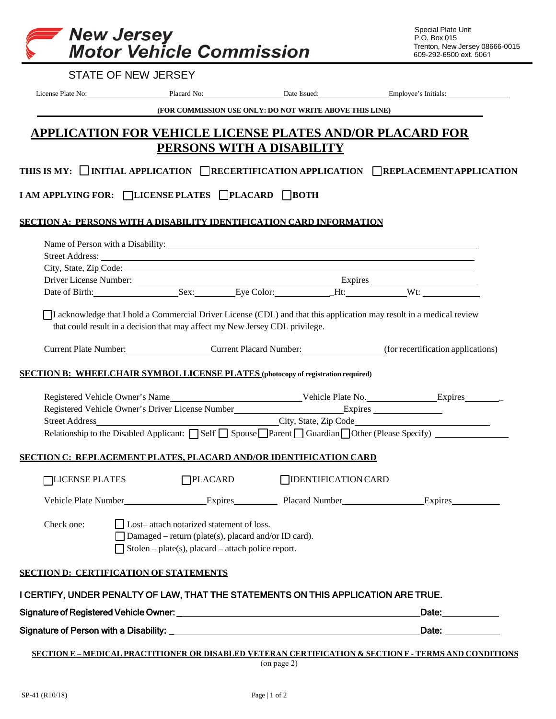| <i>New Jersey</i>                                                                                                                                                       | <b>Motor Vehicle Commission</b>                                                                                                                                      |                                                                                                                       | Special Plate Unit<br>P.O. Box 015<br>Trenton, New Jersey 08666-0015<br>609-292-6500 ext. 5061 |
|-------------------------------------------------------------------------------------------------------------------------------------------------------------------------|----------------------------------------------------------------------------------------------------------------------------------------------------------------------|-----------------------------------------------------------------------------------------------------------------------|------------------------------------------------------------------------------------------------|
| STATE OF NEW JERSEY                                                                                                                                                     |                                                                                                                                                                      |                                                                                                                       |                                                                                                |
|                                                                                                                                                                         |                                                                                                                                                                      |                                                                                                                       | License Plate No: Placard No: Placard No: Date Issued: Employee's Initials:                    |
|                                                                                                                                                                         |                                                                                                                                                                      | (FOR COMMISSION USE ONLY: DO NOT WRITE ABOVE THIS LINE)                                                               |                                                                                                |
| <b>APPLICATION FOR VEHICLE LICENSE PLATES AND/OR PLACARD FOR</b>                                                                                                        | <b>PERSONS WITH A DISABILITY</b>                                                                                                                                     |                                                                                                                       |                                                                                                |
|                                                                                                                                                                         |                                                                                                                                                                      |                                                                                                                       | THIS IS MY: INITIAL APPLICATION <b>INCORPORATION APPLICATION</b> IREPLACEMENT APPLICATION      |
| I AM APPLYING FOR: □LICENSE PLATES □PLACARD □BOTH                                                                                                                       |                                                                                                                                                                      |                                                                                                                       |                                                                                                |
| <b>SECTION A: PERSONS WITH A DISABILITY IDENTIFICATION CARD INFORMATION</b>                                                                                             |                                                                                                                                                                      |                                                                                                                       |                                                                                                |
|                                                                                                                                                                         |                                                                                                                                                                      |                                                                                                                       |                                                                                                |
|                                                                                                                                                                         |                                                                                                                                                                      | City, State, Zip Code:                                                                                                |                                                                                                |
|                                                                                                                                                                         |                                                                                                                                                                      | Date of Birth: Sex: Eye Color: Ht: Wt: Wt:                                                                            |                                                                                                |
| that could result in a decision that may affect my New Jersey CDL privilege.<br><b>SECTION B: WHEELCHAIR SYMBOL LICENSE PLATES (photocopy of registration required)</b> |                                                                                                                                                                      |                                                                                                                       | Current Plate Number: Current Placard Number: (for recertification applications)               |
|                                                                                                                                                                         |                                                                                                                                                                      |                                                                                                                       |                                                                                                |
| Registered Vehicle Owner's Driver License Number_                                                                                                                       |                                                                                                                                                                      | $\frac{\text{Express}}{\text{Express}}$                                                                               |                                                                                                |
|                                                                                                                                                                         |                                                                                                                                                                      | Street Address<br>Relationship to the Disabled Applicant:<br>Self<br>Spouse Parent<br>Suardian Other (Please Specify) |                                                                                                |
|                                                                                                                                                                         |                                                                                                                                                                      |                                                                                                                       |                                                                                                |
| <b>SECTION C: REPLACEMENT PLATES. PLACARD AND/OR IDENTIFICATION CARD</b>                                                                                                |                                                                                                                                                                      |                                                                                                                       |                                                                                                |
| <b>TLICENSE PLATES</b>                                                                                                                                                  |                                                                                                                                                                      | $\Box$ PLACARD $\Box$ IDENTIFICATION CARD                                                                             |                                                                                                |
|                                                                                                                                                                         |                                                                                                                                                                      |                                                                                                                       |                                                                                                |
| Check one:                                                                                                                                                              | Lost-attach notarized statement of loss.<br>$\Box$ Damaged – return (plate(s), placard and/or ID card).<br>$\Box$ Stolen – plate(s), placard – attach police report. |                                                                                                                       |                                                                                                |
| <b>SECTION D: CERTIFICATION OF STATEMENTS</b>                                                                                                                           |                                                                                                                                                                      |                                                                                                                       |                                                                                                |
| I CERTIFY, UNDER PENALTY OF LAW, THAT THE STATEMENTS ON THIS APPLICATION ARE TRUE.                                                                                      |                                                                                                                                                                      |                                                                                                                       |                                                                                                |
|                                                                                                                                                                         |                                                                                                                                                                      |                                                                                                                       |                                                                                                |
| Signature of Person with a Disability: <b>All any of the Contract of All and Street All and Street All and Street A</b>                                                 |                                                                                                                                                                      |                                                                                                                       | Date: ___________                                                                              |
| <u>SECTION E – MEDICAL PRACTITIONER OR DISABLED VETERAN CERTIFICATION &amp; SECTION F - TERMS AND CONDITIONS</u>                                                        |                                                                                                                                                                      |                                                                                                                       |                                                                                                |

(on page 2)